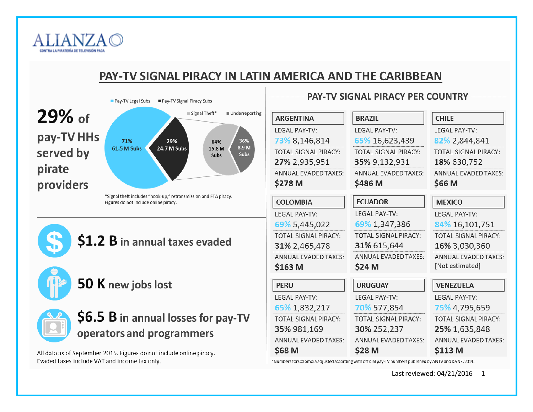

## PAY-TV SIGNAL PIRACY IN LATIN AMERICA AND THE CARIBBEAN





# \$1.2 B in annual taxes evaded

50 K new jobs lost



# \$6.5 B in annual losses for pay-TV operators and programmers

All data as of September 2015. Figures do not include online piracy. Evaded taxes include VAT and income tax only.

| <b>ARGENTINA</b>            | <b>BRAZIL</b>               | <b>CHILE</b>                |
|-----------------------------|-----------------------------|-----------------------------|
| <b>IFGAI PAY-TV:</b>        | <b>IFGAI PAY-TV:</b>        | <b>IFGAI PAY-TV:</b>        |
| 73% 8,146,814               | 65% 16,623,439              | 82% 2,844,841               |
| TOTAL SIGNAL PIRACY:        | TOTAL SIGNAL PIRACY:        | TOTAL SIGNAL PIRACY:        |
| 27% 2,935,951               | 35% 9,132,931               | 18% 630,752                 |
| ANNUAL EVADED TAXES:        | ANNUAL EVADED TAXES:        | <b>ANNUAL EVADED TAXES:</b> |
| \$278 M                     | \$486 M                     | \$66 M                      |
| <b>COLOMBIA</b>             | <b>ECUADOR</b>              | <b>MEXICO</b>               |
| <b>LEGAL PAY-TV:</b>        | <b>LEGAL PAY-TV:</b>        | <b>LEGAL PAY-TV:</b>        |
| 69% 5,445,022               | 69% 1,347,386               | 84% 16,101,751              |
| <b>TOTAL SIGNAL PIRACY:</b> | TOTAL SIGNAL PIRACY:        | <b>TOTAL SIGNAL PIRACY:</b> |
| 31% 2,465,478               | 31% 615,644                 | 16% 3,030,360               |
| ANNUAL EVADED TAXES:        | ANNUAL EVADED TAXES:        | <b>ANNUAL EVADED TAXES:</b> |
| \$163 M                     | \$24 M                      | [Not estimated]             |
| <b>PERU</b>                 | <b>URUGUAY</b>              | <b>VENEZUELA</b>            |
| <b>LEGAL PAY-TV:</b>        | <b>LEGAL PAY-TV:</b>        | <b>LEGAL PAY-TV:</b>        |
| 65% 1,832,217               | 70% 577,854                 | 75% 4,795,659               |
| <b>TOTAL SIGNAL PIRACY:</b> | <b>TOTAL SIGNAL PIRACY:</b> | <b>TOTAL SIGNAL PIRACY:</b> |
| 35% 981,169                 | 30% 252,237                 | 25% 1,635,848               |
| <b>ANNUAL EVADED TAXES:</b> | ANNUAL EVADED TAXES:        | <b>ANNUAL EVADED TAXES:</b> |
| \$68 M                      | \$28 M                      | \$113 M                     |
|                             |                             |                             |

**PAY-TV SIGNAL PIRACY PER COUNTRY** 

\*Numbers for Colombia adjusted according with official pay-TV numbers published by ANTV and DANE, 2014.

Last reviewed: 04/21/2016 1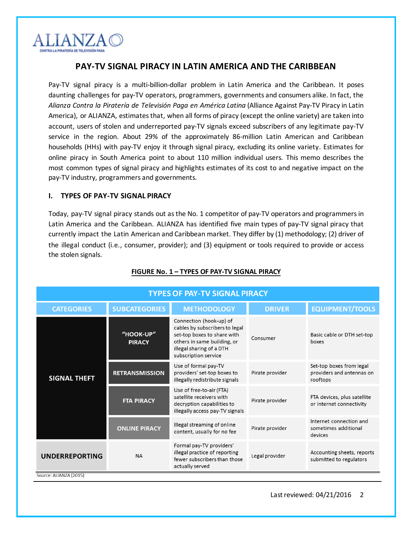

## **PAY-TV SIGNAL PIRACY IN LATIN AMERICA AND THE CARIBBEAN**

Pay-TV signal piracy is a multi-billion-dollar problem in Latin America and the Caribbean. It poses daunting challenges for pay-TV operators, programmers, governments and consumers alike. In fact, the *Alianza Contra la Piratería de Televisión Paga en América Latina* (Alliance Against Pay-TV Piracy in Latin America), or ALIANZA, estimates that, when all forms of piracy (except the online variety) are taken into account, users of stolen and underreported pay-TV signals exceed subscribers of any legitimate pay-TV service in the region. About 29% of the approximately 86-million Latin American and Caribbean households (HHs) with pay-TV enjoy it through signal piracy, excluding its online variety. Estimates for online piracy in South America point to about 110 million individual users. This memo describes the most common types of signal piracy and highlights estimates of its cost to and negative impact on the pay-TV industry, programmers and governments.

### **I. TYPES OF PAY-TV SIGNAL PIRACY**

Today, pay-TV signal piracy stands out as the No. 1 competitor of pay-TV operators and programmers in Latin America and the Caribbean. ALIANZA has identified five main types of pay-TV signal piracy that currently impact the Latin American and Caribbean market. They differ by (1) methodology; (2) driver of the illegal conduct (i.e., consumer, provider); and (3) equipment or tools required to provide or access the stolen signals.

| <b>TYPES OF PAY-TV SIGNAL PIRACY</b>      |                            |                                                                                                                                                                             |                 |                                                                   |  |  |  |  |
|-------------------------------------------|----------------------------|-----------------------------------------------------------------------------------------------------------------------------------------------------------------------------|-----------------|-------------------------------------------------------------------|--|--|--|--|
| <b>SUBCATEGORIES</b><br><b>CATEGORIES</b> |                            | <b>METHODOLOGY</b>                                                                                                                                                          | <b>DRIVER</b>   | <b>EQUIPMENT/TOOLS</b>                                            |  |  |  |  |
|                                           | "HOOK-UP"<br><b>PIRACY</b> | Connection (hook-up) of<br>cables by subscribers to legal<br>set-top boxes to share with<br>others in same building, or<br>illegal sharing of a DTH<br>subscription service | Consumer        | Basic cable or DTH set-top<br>boxes                               |  |  |  |  |
| <b>SIGNAL THEFT</b>                       | <b>RETRANSMISSION</b>      | Use of formal pay-TV<br>providers' set-top boxes to<br>illegally redistribute signals                                                                                       | Pirate provider | Set-top boxes from legal<br>providers and antennas on<br>rooftops |  |  |  |  |
|                                           | <b>FTA PIRACY</b>          | Use of free-to-air (FTA)<br>satellite receivers with<br>decryption capabilities to<br>illegally access pay-TV signals                                                       | Pirate provider | FTA devices, plus satellite<br>or internet connectivity           |  |  |  |  |
|                                           | <b>ONLINE PIRACY</b>       | Illegal streaming of online<br>content, usually for no fee                                                                                                                  | Pirate provider | Internet connection and<br>sometimes additional<br>devices        |  |  |  |  |
| <b>UNDERREPORTING</b><br><b>NA</b>        |                            | Formal pay-TV providers'<br>illegal practice of reporting<br>fewer subscribers than those<br>actually served                                                                | Legal provider  | Accounting sheets, reports<br>submitted to regulators             |  |  |  |  |
| Source: ALIANZA (2015)                    |                            |                                                                                                                                                                             |                 |                                                                   |  |  |  |  |

### **FIGURE No. 1 – TYPES OF PAY-TV SIGNAL PIRACY**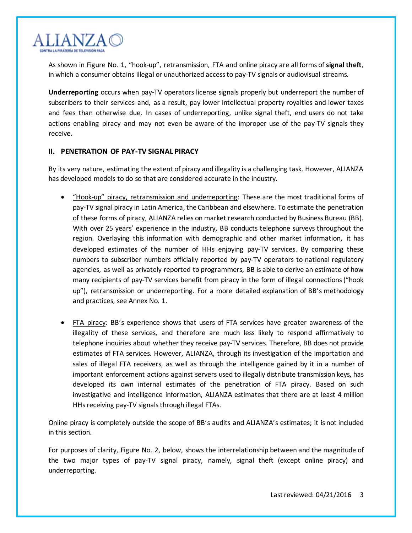

As shown in Figure No. 1, "hook-up", retransmission, FTA and online piracy are all forms of **signal theft**, in which a consumer obtains illegal or unauthorized access to pay-TV signals or audiovisual streams.

**Underreporting** occurs when pay-TV operators license signals properly but underreport the number of subscribers to their services and, as a result, pay lower intellectual property royalties and lower taxes and fees than otherwise due. In cases of underreporting, unlike signal theft, end users do not take actions enabling piracy and may not even be aware of the improper use of the pay-TV signals they receive.

## **II. PENETRATION OF PAY-TV SIGNAL PIRACY**

By its very nature, estimating the extent of piracy and illegality is a challenging task. However, ALIANZA has developed models to do so that are considered accurate in the industry.

- "Hook-up" piracy, retransmission and underreporting: These are the most traditional forms of pay-TV signal piracy in Latin America, the Caribbean and elsewhere. To estimate the penetration of these forms of piracy, ALIANZA relies on market research conducted by Business Bureau (BB). With over 25 years' experience in the industry, BB conducts telephone surveys throughout the region. Overlaying this information with demographic and other market information, it has developed estimates of the number of HHs enjoying pay-TV services. By comparing these numbers to subscriber numbers officially reported by pay-TV operators to national regulatory agencies, as well as privately reported to programmers, BB is able to derive an estimate of how many recipients of pay-TV services benefit from piracy in the form of illegal connections ("hook up"), retransmission or underreporting. For a more detailed explanation of BB's methodology and practices, see Annex No. 1.
- FTA piracy: BB's experience shows that users of FTA services have greater awareness of the illegality of these services, and therefore are much less likely to respond affirmatively to telephone inquiries about whether they receive pay-TV services. Therefore, BB does not provide estimates of FTA services. However, ALIANZA, through its investigation of the importation and sales of illegal FTA receivers, as well as through the intelligence gained by it in a number of important enforcement actions against servers used to illegally distribute transmission keys, has developed its own internal estimates of the penetration of FTA piracy. Based on such investigative and intelligence information, ALIANZA estimates that there are at least 4 million HHs receiving pay-TV signals through illegal FTAs.

Online piracy is completely outside the scope of BB's audits and ALIANZA's estimates; it is not included in this section.

For purposes of clarity, Figure No. 2, below, shows the interrelationship between and the magnitude of the two major types of pay-TV signal piracy, namely, signal theft (except online piracy) and underreporting.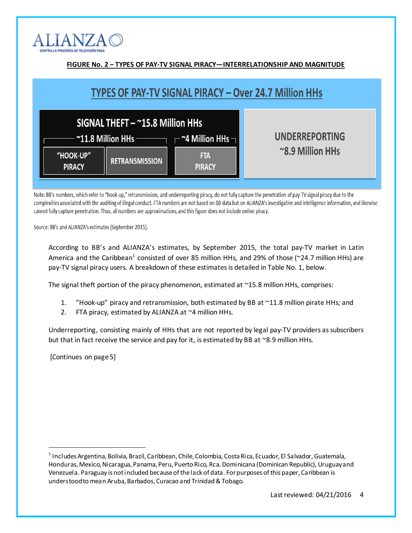

| FIGURE No. 2 - TYPES OF PAY-TV SIGNAL PIRACY-INTERRELATIONSHIP AND MAGNITUDE |                                                                                                                                |                                           |  |  |  |  |
|------------------------------------------------------------------------------|--------------------------------------------------------------------------------------------------------------------------------|-------------------------------------------|--|--|--|--|
| TYPES OF PAY-TV SIGNAL PIRACY – Over 24.7 Million HHs                        |                                                                                                                                |                                           |  |  |  |  |
|                                                                              | SIGNAL THEFT - ~15.8 Million HHs<br>$\cdot$ ~11.8 Million HHs $\longrightarrow$ $\mathsf{\sim}$ ~4 Million HHs $\mathsf{\sim}$ | <b>UNDERREPORTING</b><br>~8.9 Million HHs |  |  |  |  |
| "HOOK-UP"<br><b>PIRACY</b>                                                   | <b>RETRANSMISSION</b>                                                                                                          | <b>FTA</b><br><b>PIRACY</b>               |  |  |  |  |

Note: BB's numbers, which refer to "hook-up," retransmission, and underreporting piracy, do not fully capture the penetration of pay-TV signal piracy due to the complexities associated with the auditing of illegal conduct. FTA numbers are not based on BB data but on ALIANZA's investigative and intelligence information, and likewise cannot fully capture penetration. Thus, all numbers are approximations, and this figure does not include online piracy.

Source: BB's and ALIANZA's estimates (September 2015).

According to BB's and ALIANZA's estimates, by September 2015, the total pay-TV market in Latin America and the Caribbean<sup>1</sup> consisted of over 85 million HHs, and 29% of those (~24.7 million HHs) are pay-TV signal piracy users. A breakdown of these estimates is detailed in Table No. 1, below.

The signal theft portion of the piracy phenomenon, estimated at ~15.8 million HHs, comprises:

- 1. "Hook-up" piracy and retransmission, both estimated by BB at ~11.8 million pirate HHs; and
- 2. FTA piracy, estimated by ALIANZA at ~4 million HHs.

Underreporting, consisting mainly of HHs that are not reported by legal pay-TV providers as subscribers but that in fact receive the service and pay for it, is estimated by BB at ~8.9 million HHs.

[Continues on page 5]

<sup>&</sup>lt;sup>1</sup> Includes Argentina, Bolivia, Brazil, Caribbean, Chile, Colombia, Costa Rica, Ecuador, El Salvador, Guatemala, Honduras, Mexico, Nicaragua, Panama, Peru, Puerto Rico, Rca. Dominicana (Dominican Republic), Uruguay and Venezuela. Paraguay is not included because of the lack of data. For purposes of this paper, Caribbean is understood to mean Aruba, Barbados, Curacao and Trinidad & Tobago.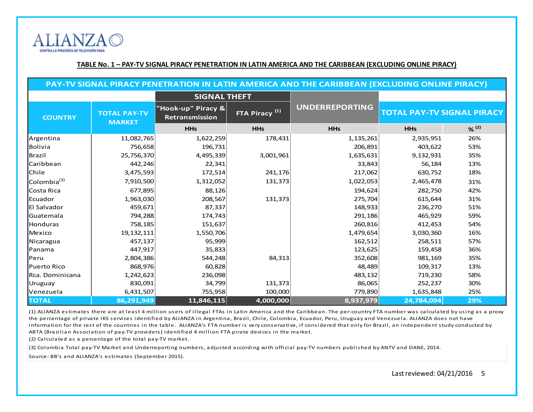

#### **TABLE No. 1 – PAY-TV SIGNAL PIRACY PENETRATION IN LATIN AMERICA AND THE CARIBBEAN (EXCLUDING ONLINE PIRACY)**

| PAY-TV SIGNAL PIRACY PENETRATION IN LATIN AMERICA AND THE CARIBBEAN (EXCLUDING ONLINE PIRACY) |              |                                      |                                                    |            |                                   |       |  |
|-----------------------------------------------------------------------------------------------|--------------|--------------------------------------|----------------------------------------------------|------------|-----------------------------------|-------|--|
|                                                                                               |              | <b>SIGNAL THEFT</b>                  |                                                    |            |                                   |       |  |
| <b>TOTAL PAY-TV</b><br><b>COUNTRY</b><br><b>MARKET</b>                                        |              | "Hook-up" Piracy &<br>Retransmission | <b>UNDERREPORTING</b><br>FTA Piracy <sup>(1)</sup> |            | <b>TOTAL PAY-TV SIGNAL PIRACY</b> |       |  |
|                                                                                               |              | <b>HHs</b>                           | <b>HHs</b>                                         | <b>HHs</b> | <b>HHs</b>                        | % (2) |  |
| Argentina                                                                                     | 11,082,765   | 1,622,259                            | 178,431                                            | 1,135,261  | 2,935,951                         | 26%   |  |
| Bolivia                                                                                       | 756,658      | 196,731                              |                                                    | 206,891    | 403,622                           | 53%   |  |
| Brazil                                                                                        | 25,756,370   | 4,495,339                            | 3,001,961                                          | 1,635,631  | 9,132,931                         | 35%   |  |
| Caribbean                                                                                     | 442,246      | 22,341                               |                                                    | 33,843     | 56,184                            | 13%   |  |
| Chile                                                                                         | 3,475,593    | 172,514                              | 241,176                                            | 217,062    | 630,752                           | 18%   |  |
| Colombia <sup>(3)</sup>                                                                       | 7,910,500    | 1,312,052                            | 131,373                                            | 1,022,053  | 2,465,478                         | 31%   |  |
| Costa Rica                                                                                    | 677,895      | 88,126                               |                                                    | 194,624    | 282,750                           | 42%   |  |
| Ecuador                                                                                       | 1,963,030    | 208,567                              | 131,373                                            | 275,704    | 615,644                           | 31%   |  |
| El Salvador                                                                                   | 459,671      | 87,337                               |                                                    | 148,933    | 236,270                           | 51%   |  |
| Guatemala                                                                                     | 794,288      | 174,743                              |                                                    | 291,186    | 465,929                           | 59%   |  |
| Honduras                                                                                      | 758,185      | 151,637                              |                                                    | 260,816    | 412,453                           | 54%   |  |
| Mexico                                                                                        | 19, 132, 111 | 1,550,706                            |                                                    | 1,479,654  | 3,030,360                         | 16%   |  |
| Nicaragua                                                                                     | 457,137      | 95,999                               |                                                    | 162,512    | 258,511                           | 57%   |  |
| Panama                                                                                        | 447,917      | 35,833                               |                                                    | 123,625    | 159,458                           | 36%   |  |
| Peru                                                                                          | 2,804,386    | 544,248                              | 84,313                                             | 352,608    | 981,169                           | 35%   |  |
| Puerto Rico                                                                                   | 868,976      | 60,828                               |                                                    | 48,489     | 109,317                           | 13%   |  |
| Rca. Dominicana                                                                               | 1,242,623    | 236,098                              |                                                    | 483,132    | 719,230                           | 58%   |  |
| Uruguay                                                                                       | 830,091      | 34,799                               | 131,373                                            | 86,065     | 252,237                           | 30%   |  |
| Venezuela                                                                                     | 6,431,507    | 755,958                              | 100,000                                            | 779,890    | 1,635,848                         | 25%   |  |
| <b>TOTAL</b>                                                                                  | 86,291,949   | 11,846,115                           | 4,000,000                                          | 8,937,979  | 24,784,094                        | 29%   |  |

(1) ALIANZA estimates there are at least 4 million users of illegal FTAs in Latin America and the Caribbean. The per-country FTA number was calculated by using as a proxy the percentage of private IKS services identified by ALIANZA in Argentina, Brazil, Chile, Colombia, Ecuador, Peru, Uruguay and Venezuela. ALIANZA does not have information for the rest of the countries in the table. ALIANZA's FTA number is very conservative, if considered that only for Brazil, an independent study conducted by ABTA (Brazilian Association of pay-TV providers) identified 4 million FTA pirate devices in the market.

(2) Calculated as a percentage of the total pay-TV market.

(3) Colombia Total pay-TV Market and Underreporting numbers, adjusted according with official pay-TV numbers published by ANTV and DANE, 2014.

Source: BB's and ALIANZA's estimates (September 2015).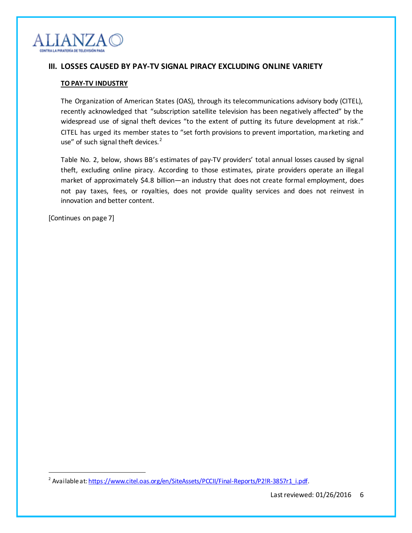

## **III. LOSSES CAUSED BY PAY-TV SIGNAL PIRACY EXCLUDING ONLINE VARIETY**

### **TO PAY-TV INDUSTRY**

The Organization of American States (OAS), through its telecommunications advisory body (CITEL), recently acknowledged that "subscription satellite television has been negatively affected" by the widespread use of signal theft devices "to the extent of putting its future development at risk." CITEL has urged its member states to "set forth provisions to prevent importation, marketing and use" of such signal theft devices.<sup>2</sup>

Table No. 2, below, shows BB's estimates of pay-TV providers' total annual losses caused by signal theft, excluding online piracy. According to those estimates, pirate providers operate an illegal market of approximately \$4.8 billion—an industry that does not create formal employment, does not pay taxes, fees, or royalties, does not provide quality services and does not reinvest in innovation and better content.

[Continues on page 7]

<sup>&</sup>lt;sup>2</sup> Available at: <u>https://www.citel.oas.org/en/SiteAssets/PCCII/Final-Reports/P2!R-3857r1\_i.pdf</u>.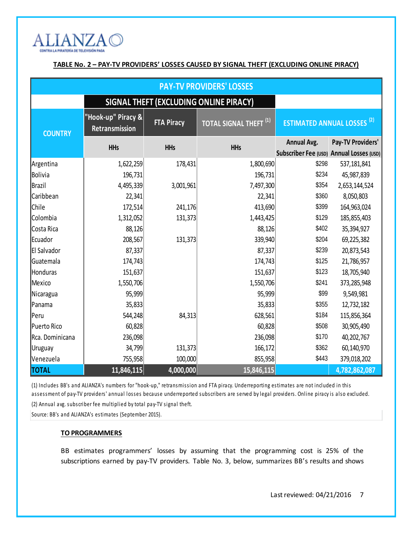

## **TABLE No. 2 – PAY-TV PROVIDERS' LOSSES CAUSED BY SIGNAL THEFT (EXCLUDING ONLINE PIRACY)**

| <b>PAY-TV PROVIDERS' LOSSES</b>        |                                      |                   |                                   |                                              |                   |  |  |
|----------------------------------------|--------------------------------------|-------------------|-----------------------------------|----------------------------------------------|-------------------|--|--|
| SIGNAL THEFT (EXCLUDING ONLINE PIRACY) |                                      |                   |                                   |                                              |                   |  |  |
| <b>COUNTRY</b>                         | "Hook-up" Piracy &<br>Retransmission | <b>FTA Piracy</b> | TOTAL SIGNAL THEFT <sup>(1)</sup> | <b>ESTIMATED ANNUAL LOSSES<sup>(2)</sup></b> |                   |  |  |
|                                        | <b>HHs</b>                           | <b>HHs</b>        | <b>HHs</b>                        | <b>Annual Avg.</b>                           | Pay-TV Providers' |  |  |
|                                        |                                      |                   |                                   | Subscriber Fee (USD) Annual Losses (USD)     |                   |  |  |
| Argentina                              | 1,622,259                            | 178,431           | 1,800,690                         | \$298                                        | 537,181,841       |  |  |
| Bolivia                                | 196,731                              |                   | 196,731                           | \$234                                        | 45,987,839        |  |  |
| Brazil                                 | 4,495,339                            | 3,001,961         | 7,497,300                         | \$354                                        | 2,653,144,524     |  |  |
| Caribbean                              | 22,341                               |                   | 22,341                            | \$360                                        | 8,050,803         |  |  |
| Chile                                  | 172,514                              | 241,176           | 413,690                           | \$399                                        | 164,963,024       |  |  |
| Colombia                               | 1,312,052                            | 131,373           | 1,443,425                         | \$129                                        | 185,855,403       |  |  |
| Costa Rica                             | 88,126                               |                   | 88,126                            | \$402                                        | 35,394,927        |  |  |
| Ecuador                                | 208,567                              | 131,373           | 339,940                           | \$204                                        | 69,225,382        |  |  |
| El Salvador                            | 87,337                               |                   | 87,337                            | \$239                                        | 20,873,543        |  |  |
| Guatemala                              | 174,743                              |                   | 174,743                           | \$125                                        | 21,786,957        |  |  |
| Honduras                               | 151,637                              |                   | 151,637                           | \$123                                        | 18,705,940        |  |  |
| Mexico                                 | 1,550,706                            |                   | 1,550,706                         | \$241                                        | 373,285,948       |  |  |
| Nicaragua                              | 95,999                               |                   | 95,999                            | \$99                                         | 9,549,981         |  |  |
| Panama                                 | 35,833                               |                   | 35,833                            | \$355                                        | 12,732,182        |  |  |
| Peru                                   | 544,248                              | 84,313            | 628,561                           | \$184                                        | 115,856,364       |  |  |
| Puerto Rico                            | 60,828                               |                   | 60,828                            | \$508                                        | 30,905,490        |  |  |
| Rca. Dominicana                        | 236,098                              |                   | 236,098                           | \$170                                        | 40,202,767        |  |  |
| Uruguay                                | 34,799                               | 131,373           | 166,172                           | \$362                                        | 60,140,970        |  |  |
| Venezuela                              | 755,958                              | 100,000           | 855,958                           | \$443                                        | 379,018,202       |  |  |
| <b>TOTAL</b>                           | 11,846,115                           | 4,000,000         | 15,846,115                        |                                              | 4,782,862,087     |  |  |

(1) Includes BB's and ALIANZA's numbers for "hook-up," retransmission and FTA piracy. Underreporting estimates are not included in this assessment of pay-TV providers' annual losses because underreported subscribers are served by legal providers. Online piracy is also excluded. (2) Annual avg. subscriber fee multiplied by total pay-TV signal theft.

Source: BB's and ALIANZA's estimates (September 2015).

### **TO PROGRAMMERS**

BB estimates programmers' losses by assuming that the programming cost is 25% of the subscriptions earned by pay-TV providers. Table No. 3, below, summarizes BB's results and shows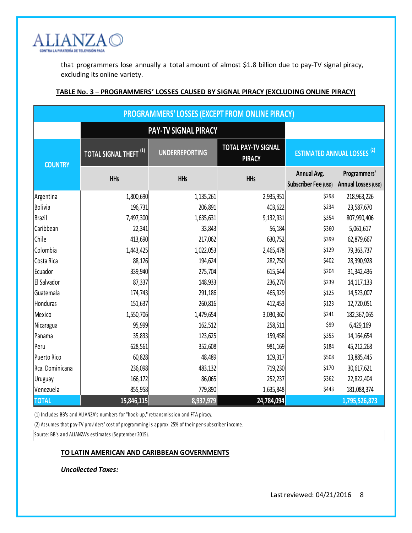

that programmers lose annually a total amount of almost \$1.8 billion due to pay-TV signal piracy, excluding its online variety.

| <b>PROGRAMMERS' LOSSES (EXCEPT FROM ONLINE PIRACY)</b> |                                   |                       |                                      |                                                   |                                            |  |  |
|--------------------------------------------------------|-----------------------------------|-----------------------|--------------------------------------|---------------------------------------------------|--------------------------------------------|--|--|
| PAY-TV SIGNAL PIRACY                                   |                                   |                       |                                      |                                                   |                                            |  |  |
| <b>COUNTRY</b>                                         | TOTAL SIGNAL THEFT <sup>(1)</sup> | <b>UNDERREPORTING</b> | TOTAL PAY-TV SIGNAL<br><b>PIRACY</b> | <b>ESTIMATED ANNUAL LOSSES<sup>(2)</sup></b>      |                                            |  |  |
|                                                        | <b>HHs</b>                        | <b>HHs</b>            | <b>HHs</b>                           | <b>Annual Avg.</b><br><b>Subscriber Fee (USD)</b> | Programmers'<br><b>Annual Losses (USD)</b> |  |  |
| Argentina                                              | 1,800,690                         | 1,135,261             | 2,935,951                            | \$298                                             | 218,963,226                                |  |  |
| Bolivia                                                | 196,731                           | 206,891               | 403,622                              | \$234                                             | 23,587,670                                 |  |  |
| Brazil                                                 | 7,497,300                         | 1,635,631             | 9,132,931                            | \$354                                             | 807,990,406                                |  |  |
| Caribbean                                              | 22,341                            | 33,843                | 56,184                               | \$360                                             | 5,061,617                                  |  |  |
| <b>Chile</b>                                           | 413,690                           | 217,062               | 630,752                              | \$399                                             | 62,879,667                                 |  |  |
| Colombia                                               | 1,443,425                         | 1,022,053             | 2,465,478                            | \$129                                             | 79,363,737                                 |  |  |
| Costa Rica                                             | 88,126                            | 194,624               | 282,750                              | \$402                                             | 28,390,928                                 |  |  |
| Ecuador                                                | 339,940                           | 275,704               | 615,644                              | \$204                                             | 31,342,436                                 |  |  |
| <b>El Salvador</b>                                     | 87,337                            | 148,933               | 236,270                              | \$239                                             | 14, 117, 133                               |  |  |
| Guatemala                                              | 174,743                           | 291,186               | 465,929                              | \$125                                             | 14,523,007                                 |  |  |
| Honduras                                               | 151,637                           | 260,816               | 412,453                              | \$123                                             | 12,720,051                                 |  |  |
| Mexico                                                 | 1,550,706                         | 1,479,654             | 3,030,360                            | \$241                                             | 182,367,065                                |  |  |
| Nicaragua                                              | 95,999                            | 162,512               | 258,511                              | \$99                                              | 6,429,169                                  |  |  |
| Panama                                                 | 35,833                            | 123,625               | 159,458                              | \$355                                             | 14,164,654                                 |  |  |
| Peru                                                   | 628,561                           | 352,608               | 981,169                              | \$184                                             | 45,212,268                                 |  |  |
| Puerto Rico                                            | 60,828                            | 48,489                | 109,317                              | \$508                                             | 13,885,445                                 |  |  |
| Rca. Dominicana                                        | 236,098                           | 483,132               | 719,230                              | \$170                                             | 30,617,621                                 |  |  |
| Uruguay                                                | 166,172                           | 86,065                | 252,237                              | \$362                                             | 22,822,404                                 |  |  |
| Venezuela                                              | 855,958                           | 779,890               | 1,635,848                            | \$443                                             | 181,088,374                                |  |  |
| <b>TOTAL</b>                                           | 15,846,115                        | 8,937,979             | 24,784,094                           |                                                   | 1,795,526,873                              |  |  |

## **TABLE No. 3 – PROGRAMMERS' LOSSES CAUSED BY SIGNAL PIRACY (EXCLUDING ONLINE PIRACY)**

(1) Includes BB's and ALIANZA's numbers for "hook-up," retransmission and FTA piracy.

(2) Assumes that pay-TV providers' cost of programming is approx. 25% of their per-subscriber income.

Source: BB's and ALIANZA's estimates (September 2015).

## **TO LATIN AMERICAN AND CARIBBEAN GOVERNMENTS**

*Uncollected Taxes:*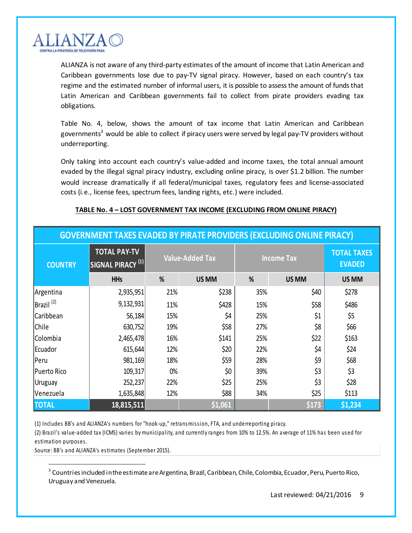

ALIANZA is not aware of any third-party estimates of the amount of income that Latin American and Caribbean governments lose due to pay-TV signal piracy. However, based on each country's tax regime and the estimated number of informal users, it is possible to assessthe amount of funds that Latin American and Caribbean governments fail to collect from pirate providers evading tax obligations.

Table No. 4, below, shows the amount of tax income that Latin American and Caribbean governments<sup>3</sup> would be able to collect if piracy users were served by legal pay-TV providers without underreporting.

Only taking into account each country's value-added and income taxes, the total annual amount evaded by the illegal signal piracy industry, excluding online piracy, is over \$1.2 billion. The number would increase dramatically if all federal/municipal taxes, regulatory fees and license-associated costs (i.e., license fees, spectrum fees, landing rights, etc.) were included.

## **TABLE No. 4 – LOST GOVERNMENT TAX INCOME (EXCLUDING FROM ONLINE PIRACY)**

| <b>GOVERNMENT TAXES EVADED BY PIRATE PROVIDERS (EXCLUDING ONLINE PIRACY)</b> |                                                     |                        |         |                   |       |                                     |  |
|------------------------------------------------------------------------------|-----------------------------------------------------|------------------------|---------|-------------------|-------|-------------------------------------|--|
| <b>COUNTRY</b>                                                               | <b>TOTAL PAY-TV</b><br>SIGNAL PIRACY <sup>(1)</sup> | <b>Value-Added Tax</b> |         | <b>Income Tax</b> |       | <b>TOTAL TAXES</b><br><b>EVADED</b> |  |
|                                                                              | <b>HHs</b>                                          | %                      | US MM   | %                 | US MM | US MM                               |  |
| Argentina                                                                    | 2,935,951                                           | 21%                    | \$238   | 35%               | \$40  | \$278                               |  |
| $ Brazil^{(2)} $                                                             | 9,132,931                                           | 11%                    | \$428   | 15%               | \$58  | \$486                               |  |
| <b>Caribbean</b>                                                             | 56,184                                              | 15%                    | \$4     | 25%               | \$1   | \$5                                 |  |
| <b>Chile</b>                                                                 | 630,752                                             | 19%                    | \$58    | 27%               | \$8   | \$66                                |  |
| Colombia                                                                     | 2,465,478                                           | 16%                    | \$141   | 25%               | \$22  | \$163                               |  |
| Ecuador                                                                      | 615,644                                             | 12%                    | \$20    | 22%               | \$4   | \$24                                |  |
| Peru                                                                         | 981,169                                             | 18%                    | \$59    | 28%               | \$9   | \$68                                |  |
| Puerto Rico                                                                  | 109,317                                             | 0%                     | \$0     | 39%               | \$3   | \$3                                 |  |
| Uruguay                                                                      | 252,237                                             | 22%                    | \$25    | 25%               | \$3   | \$28                                |  |
| Venezuela                                                                    | 1,635,848                                           | 12%                    | \$88    | 34%               | \$25  | \$113                               |  |
| <b>TOTAL</b>                                                                 | 18,815,511                                          |                        | \$1,061 |                   | \$173 | \$1,234                             |  |

(1) Includes BB's and ALIANZA's numbers for "hook-up," retransmission, FTA, and underreporting piracy.

(2) Brazil's value-added tax (ICMS) varies by municipality, and currently ranges from 10% to 12.5%. An average of 11% has been used for estimation purposes.

Source: BB's and ALIANZA's estimates (September 2015).

 $^3$  Countries included in the estimate are Argentina, Brazil, Caribbean, Chile, Colombia, Ecuador, Peru, Puerto Rico, Uruguay and Venezuela.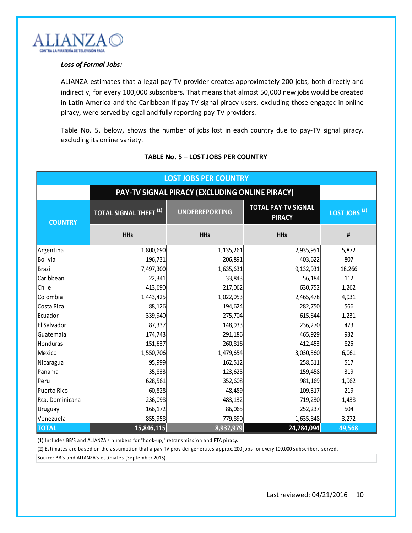

#### *Loss of Formal Jobs:*

ALIANZA estimates that a legal pay-TV provider creates approximately 200 jobs, both directly and indirectly, for every 100,000 subscribers. That means that almost 50,000 new jobs would be created in Latin America and the Caribbean if pay-TV signal piracy users, excluding those engaged in online piracy, were served by legal and fully reporting pay-TV providers.

Table No. 5, below, shows the number of jobs lost in each country due to pay-TV signal piracy, excluding its online variety.

| <b>LOST JOBS PER COUNTRY</b> |                                                |                       |                                             |                          |  |  |  |
|------------------------------|------------------------------------------------|-----------------------|---------------------------------------------|--------------------------|--|--|--|
|                              | PAY-TV SIGNAL PIRACY (EXCLUDING ONLINE PIRACY) |                       |                                             |                          |  |  |  |
| <b>COUNTRY</b>               | <b>TOTAL SIGNAL THEFT</b> <sup>(1)</sup>       | <b>UNDERREPORTING</b> | <b>TOTAL PAY-TV SIGNAL</b><br><b>PIRACY</b> | LOST JOBS <sup>(2)</sup> |  |  |  |
|                              | <b>HHs</b>                                     | <b>HHs</b>            | <b>HHs</b>                                  | $\#$                     |  |  |  |
| Argentina                    | 1,800,690                                      | 1,135,261             | 2,935,951                                   | 5,872                    |  |  |  |
| Bolivia                      | 196,731                                        | 206,891               | 403,622                                     | 807                      |  |  |  |
| Brazil                       | 7,497,300                                      | 1,635,631             | 9,132,931                                   | 18,266                   |  |  |  |
| Caribbean                    | 22,341                                         | 33,843                | 56,184                                      | 112                      |  |  |  |
| <b>Chile</b>                 | 413,690                                        | 217,062               | 630,752                                     | 1,262                    |  |  |  |
| Colombia                     | 1,443,425                                      | 1,022,053             | 2,465,478                                   | 4,931                    |  |  |  |
| Costa Rica                   | 88,126                                         | 194,624               | 282,750                                     | 566                      |  |  |  |
| Ecuador                      | 339,940                                        | 275,704               | 615,644                                     | 1,231                    |  |  |  |
| El Salvador                  | 87,337                                         | 148,933               | 236,270                                     | 473                      |  |  |  |
| Guatemala                    | 174,743                                        | 291,186               | 465,929                                     | 932                      |  |  |  |
| Honduras                     | 151,637                                        | 260,816               | 412,453                                     | 825                      |  |  |  |
| Mexico                       | 1,550,706                                      | 1,479,654             | 3,030,360                                   | 6,061                    |  |  |  |
| Nicaragua                    | 95,999                                         | 162,512               | 258,511                                     | 517                      |  |  |  |
| Panama                       | 35,833                                         | 123,625               | 159,458                                     | 319                      |  |  |  |
| Peru                         | 628,561                                        | 352,608               | 981,169                                     | 1,962                    |  |  |  |
| Puerto Rico                  | 60,828                                         | 48,489                | 109,317                                     | 219                      |  |  |  |
| Rca. Dominicana              | 236,098                                        | 483,132               | 719,230                                     | 1,438                    |  |  |  |
| Uruguay                      | 166,172                                        | 86,065                | 252,237                                     | 504                      |  |  |  |
| Venezuela                    | 855,958                                        | 779,890               | 1,635,848                                   | 3,272                    |  |  |  |
| <b>TOTAL</b>                 | 15,846,115                                     | 8,937,979             | 24,784,094                                  | 49,568                   |  |  |  |

### **TABLE No. 5 – LOST JOBS PER COUNTRY**

(1) Includes BB'S and ALIANZA's numbers for "hook-up," retransmission and FTA piracy.

(2) Estimates are based on the assumption that a pay-TV provider generates approx. 200 jobs for every 100,000 subscribers served.

Source: BB's and ALIANZA's estimates (September 2015).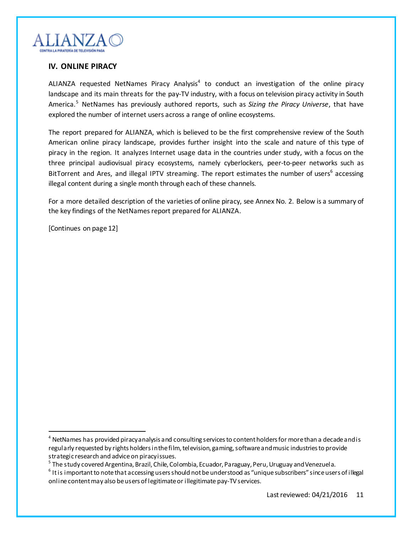

## **IV. ONLINE PIRACY**

ALIANZA requested NetNames Piracy Analysis<sup>4</sup> to conduct an investigation of the online piracy landscape and its main threats for the pay-TV industry, with a focus on television piracy activity in South America.<sup>5</sup> NetNames has previously authored reports, such as *Sizing the Piracy Universe*, that have explored the number of internet users across a range of online ecosystems.

The report prepared for ALIANZA, which is believed to be the first comprehensive review of the South American online piracy landscape, provides further insight into the scale and nature of this type of piracy in the region. It analyzes Internet usage data in the countries under study, with a focus on the three principal audiovisual piracy ecosystems, namely cyberlockers, peer-to-peer networks such as BitTorrent and Ares, and illegal IPTV streaming. The report estimates the number of users<sup>6</sup> accessing illegal content during a single month through each of these channels.

For a more detailed description of the varieties of online piracy, see Annex No. 2. Below is a summary of the key findings of the NetNames report prepared for ALIANZA.

[Continues on page 12]

 $4$  NetNames has provided piracy analysis and consulting services to content holders for more than a decade and is regularly requested by rights holders in the film, television, gaming, software and music industries to provide strategic research and advice on piracy issues.

 $^{\rm 5}$  The study covered Argentina, Brazil, Chile, Colombia, Ecuador, Paraguay, Peru, Uruguay and Venezuela.

 $^6$  It is important to note that accessing users should not be understood as "unique subscribers" since users of illegal online content may also be users of legitimate or illegitimate pay-TV services.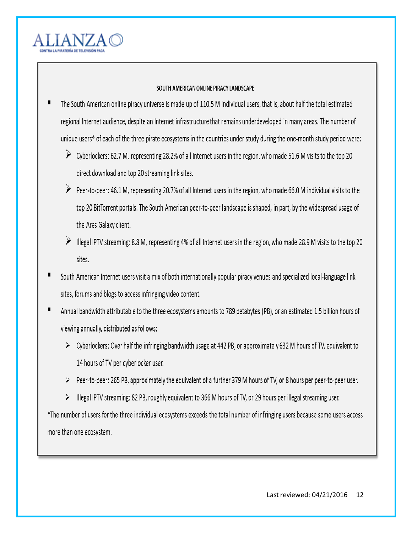

## SOUTH AMERICAN ONLINE PIRACY LANDSCAPE

- The South American online piracy universe is made up of 110.5 M individual users, that is, about half the total estimated regional Internet audience, despite an Internet infrastructure that remains underdeveloped in many areas. The number of unique users\* of each of the three pirate ecosystems in the countries under study during the one-month study period were:
	- $\triangleright$  Cyberlockers: 62.7 M, representing 28.2% of all Internet users in the region, who made 51.6 M visits to the top 20 direct download and top 20 streaming link sites.
	- $\triangleright$  Peer-to-peer: 46.1 M, representing 20.7% of all Internet users in the region, who made 66.0 M individual visits to the top 20 BitTorrent portals. The South American peer-to-peer landscape is shaped, in part, by the widespread usage of the Ares Galaxy client.
	- > Illegal IPTV streaming: 8.8 M, representing 4% of all Internet users in the region, who made 28.9 M visits to the top 20 sites.
- South American Internet users visit a mix of both internationally popular piracy venues and specialized local-language link sites, forums and blogs to access infringing video content.
- Annual bandwidth attributable to the three ecosystems amounts to 789 petabytes (PB), or an estimated 1.5 billion hours of viewing annually, distributed as follows:
	- $\triangleright$  Cyberlockers: Over half the infringing bandwidth usage at 442 PB, or approximately 632 M hours of TV, equivalent to 14 hours of TV per cyberlocker user.
	- ▶ Peer-to-peer: 265 PB, approximately the equivalent of a further 379 M hours of TV, or 8 hours per peer-to-peer user.
	- > Illegal IPTV streaming: 82 PB, roughly equivalent to 366 M hours of TV, or 29 hours per illegal streaming user.

\*The number of users for the three individual ecosystems exceeds the total number of infringing users because some users access more than one ecosystem.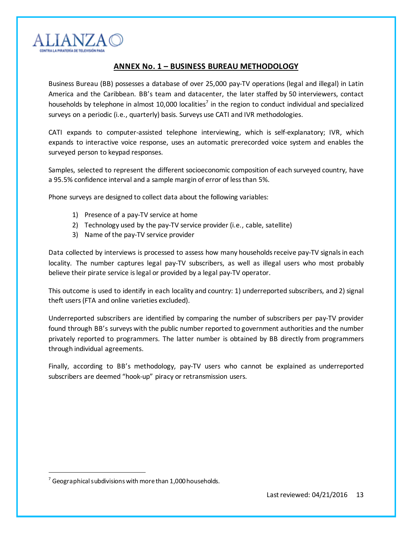

## **ANNEX No. 1 – BUSINESS BUREAU METHODOLOGY**

Business Bureau (BB) possesses a database of over 25,000 pay-TV operations (legal and illegal) in Latin America and the Caribbean. BB's team and datacenter, the later staffed by 50 interviewers, contact households by telephone in almost 10,000 localities<sup>7</sup> in the region to conduct individual and specialized surveys on a periodic (i.e., quarterly) basis. Surveys use CATI and IVR methodologies.

CATI expands to computer-assisted telephone interviewing, which is self-explanatory; IVR, which expands to interactive voice response, uses an automatic prerecorded voice system and enables the surveyed person to keypad responses.

Samples, selected to represent the different socioeconomic composition of each surveyed country, have a 95.5% confidence interval and a sample margin of error of less than 5%.

Phone surveys are designed to collect data about the following variables:

- 1) Presence of a pay-TV service at home
- 2) Technology used by the pay-TV service provider (i.e., cable, satellite)
- 3) Name of the pay-TV service provider

Data collected by interviews is processed to assess how many households receive pay-TV signals in each locality. The number captures legal pay-TV subscribers, as well as illegal users who most probably believe their pirate service is legal or provided by a legal pay-TV operator.

This outcome is used to identify in each locality and country: 1) underreported subscribers, and 2) signal theft users(FTA and online varieties excluded).

Underreported subscribers are identified by comparing the number of subscribers per pay-TV provider found through BB's surveys with the public number reported to government authorities and the number privately reported to programmers. The latter number is obtained by BB directly from programmers through individual agreements.

Finally, according to BB's methodology, pay-TV users who cannot be explained as underreported subscribers are deemed "hook-up" piracy or retransmission users.

 $7$  Geographical subdivisions with more than 1,000 households.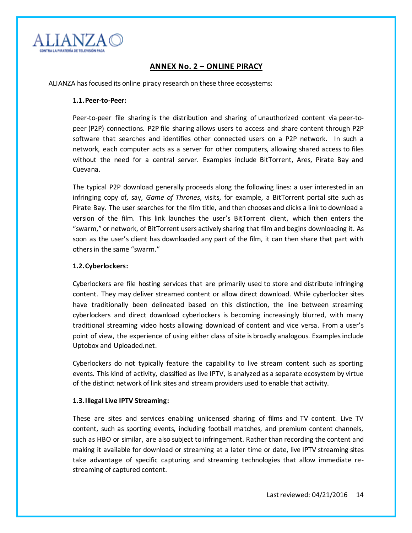

## **ANNEX No. 2 – ONLINE PIRACY**

ALIANZA has focused its online piracy research on these three ecosystems:

#### **1.1.Peer-to-Peer:**

Peer-to-peer file sharing is the distribution and sharing of [unauthorized](https://en.wikipedia.org/wiki/Digital_media) content via [peer-to](https://en.wikipedia.org/wiki/Peer-to-peer)[peer](https://en.wikipedia.org/wiki/Peer-to-peer) (P2P) connections. P2P [file sharing](https://en.wikipedia.org/wiki/File_sharing) allows users to access and share content through P2P software that searches and identifies other connected users on a P2P network. In such a network, each computer acts as a server for other computers, allowing shared access to files without the need for a central server. Examples include BitTorrent, Ares, Pirate Bay and Cuevana.

The typical P2P download generally proceeds along the following lines: a user interested in an infringing copy of, say, *Game of Thrones*, visits, for example, a BitTorrent portal site such as Pirate Bay. The user searches for the film title, and then chooses and clicks a link to download a version of the film. This link launches the user's BitTorrent client, which then enters the "swarm," or network, of BitTorrent users actively sharing that film and begins downloading it. As soon as the user's client has downloaded any part of the film, it can then share that part with others in the same "swarm."

#### **1.2.Cyberlockers:**

Cyberlockers are file hosting services that are primarily used to store and distribute infringing content. They may deliver streamed content or allow direct download. While cyberlocker sites have traditionally been delineated based on this distinction, the line between streaming cyberlockers and direct download cyberlockers is becoming increasingly blurred, with many traditional streaming video hosts allowing download of content and vice versa. From a user's point of view, the experience of using either class of site is broadly analogous. Examples include Uptobox and Uploaded.net.

Cyberlockers do not typically feature the capability to live stream content such as sporting events. This kind of activity, classified as live IPTV, is analyzed as a separate ecosystem by virtue of the distinct network of link sites and stream providers used to enable that activity.

#### **1.3.Illegal Live IPTV Streaming:**

These are sites and services enabling unlicensed sharing of films and TV content. Live TV content, such as sporting events, including football matches, and premium content channels, such as HBO or similar, are also subject to infringement. Rather than recording the content and making it available for download or streaming at a later time or date, live IPTV streaming sites take advantage of specific capturing and streaming technologies that allow immediate restreaming of captured content.